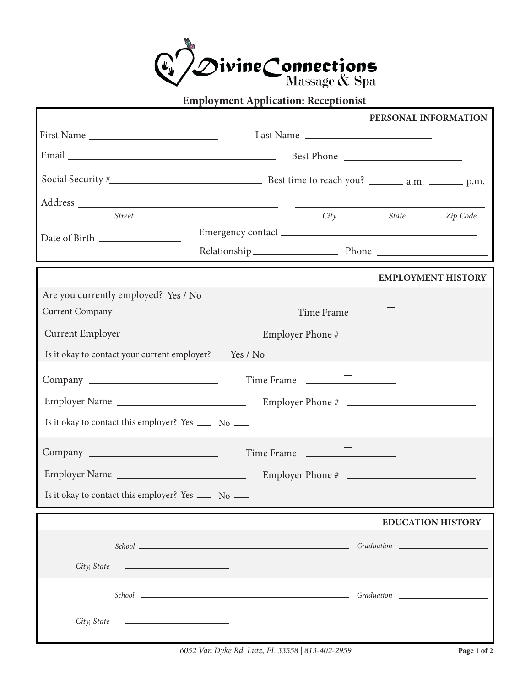

|                                                          |                                                                                                                                                                                                                                |            | PERSONAL INFORMATION                   |          |
|----------------------------------------------------------|--------------------------------------------------------------------------------------------------------------------------------------------------------------------------------------------------------------------------------|------------|----------------------------------------|----------|
|                                                          |                                                                                                                                                                                                                                | Last Name  |                                        |          |
|                                                          |                                                                                                                                                                                                                                |            |                                        |          |
|                                                          |                                                                                                                                                                                                                                |            |                                        |          |
|                                                          |                                                                                                                                                                                                                                |            |                                        |          |
| <b>Street</b>                                            |                                                                                                                                                                                                                                | City       | <i>State</i>                           | Zip Code |
|                                                          |                                                                                                                                                                                                                                |            |                                        |          |
|                                                          |                                                                                                                                                                                                                                |            | <b>EMPLOYMENT HISTORY</b>              |          |
| Are you currently employed? Yes / No                     |                                                                                                                                                                                                                                |            |                                        |          |
|                                                          |                                                                                                                                                                                                                                | Time Frame |                                        |          |
|                                                          |                                                                                                                                                                                                                                |            |                                        |          |
| Is it okay to contact your current employer? Yes / No    |                                                                                                                                                                                                                                |            |                                        |          |
|                                                          |                                                                                                                                                                                                                                |            |                                        |          |
|                                                          |                                                                                                                                                                                                                                |            |                                        |          |
| Employer Name                                            |                                                                                                                                                                                                                                |            |                                        |          |
| Is it okay to contact this employer? Yes ______ No _____ |                                                                                                                                                                                                                                |            |                                        |          |
|                                                          |                                                                                                                                                                                                                                | Time Frame |                                        |          |
| Employer Name                                            |                                                                                                                                                                                                                                |            |                                        |          |
|                                                          |                                                                                                                                                                                                                                |            |                                        |          |
| Is it okay to contact this employer? Yes ______ No _____ |                                                                                                                                                                                                                                |            |                                        |          |
|                                                          |                                                                                                                                                                                                                                |            | <b>EDUCATION HISTORY</b>               |          |
|                                                          |                                                                                                                                                                                                                                |            | Graduation Communication Communication |          |
| City, State<br><u> 1980 - John Stone, mars et al. (</u>  |                                                                                                                                                                                                                                |            |                                        |          |
|                                                          |                                                                                                                                                                                                                                |            |                                        |          |
|                                                          | School Graduation Construction Construction Construction Construction Construction Construction Construction Construction Construction Construction Construction Construction Construction Construction Construction Construct |            |                                        |          |
| $City, State$ $\qquad$                                   |                                                                                                                                                                                                                                |            |                                        |          |
|                                                          |                                                                                                                                                                                                                                |            |                                        |          |